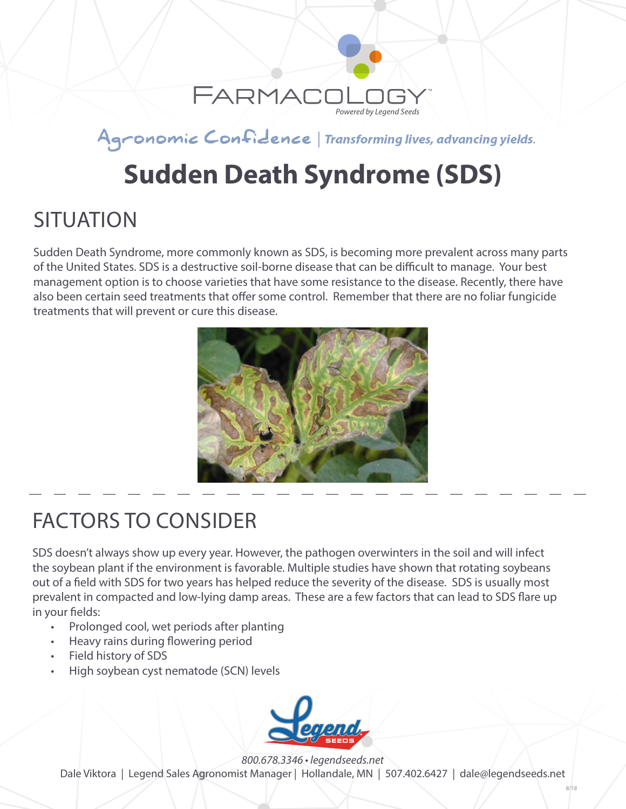

#### Agronomic Confidence | Transforming lives, advancing yields.

# **Sudden Death Syndrome (SDS)**

### **SITUATION**

Sudden Death Syndrome, more commonly known as SDS, is becoming more prevalent across many parts of the United States. SDS is a destructive soil-borne disease that can be difficult to manage. Your best management option is to choose varieties that have some resistance to the disease. Recently, there have also been certain seed treatments that offer some control. Remember that there are no foliar fungicide treatments that will prevent or cure this disease.



# FACTORS TO CONSIDER

SDS doesn't always show up every year. However, the pathogen overwinters in the soil and will infect the soybean plant if the environment is favorable. Multiple studies have shown that rotating soybeans out of a field with SDS for two years has helped reduce the severity of the disease. SDS is usually most prevalent in compacted and low-lying damp areas. These are a few factors that can lead to SDS flare up in your fields:

- Prolonged cool, wet periods after planting
- Heavy rains during flowering period
- Field history of SDS
- High soybean cyst nematode (SCN) levels



*800.678.3346 • legendseeds.net*

Dale Viktora | Legend Sales Agronomist Manager | Hollandale, MN | 507.402.6427 | dale@legendseeds.net